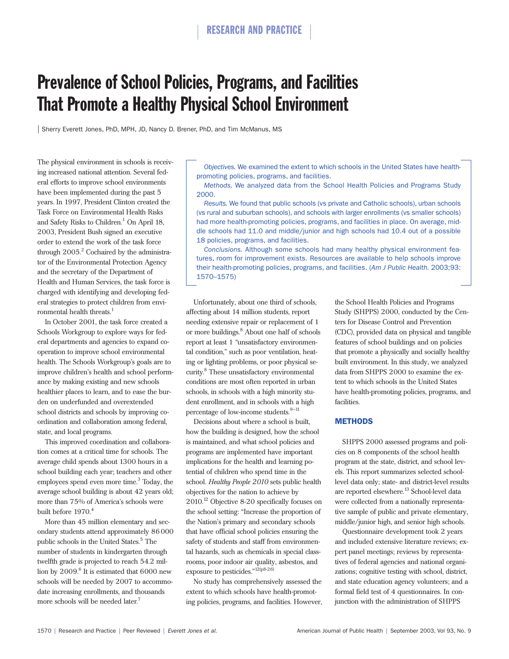# Prevalence of School Policies, Programs, and Facilities That Promote a Healthy Physical School Environment

| Sherry Everett Jones, PhD, MPH, JD, Nancy D. Brener, PhD, and Tim McManus, MS

The physical environment in schools is receiving increased national attention. Several federal efforts to improve school environments have been implemented during the past 5 years. In 1997, President Clinton created the Task Force on Environmental Health Risks and Safety Risks to Children.<sup>1</sup> On April 18, 2003, President Bush signed an executive order to extend the work of the task force through  $2005<sup>2</sup>$  Cochaired by the administrator of the Environmental Protection Agency and the secretary of the Department of Health and Human Services, the task force is charged with identifying and developing federal strategies to protect children from environmental health threats.<sup>1</sup>

In October 2001, the task force created a Schools Workgroup to explore ways for federal departments and agencies to expand cooperation to improve school environmental health. The Schools Workgroup's goals are to improve children's health and school performance by making existing and new schools healthier places to learn, and to ease the burden on underfunded and overextended school districts and schools by improving coordination and collaboration among federal, state, and local programs.

This improved coordination and collaboration comes at a critical time for schools. The average child spends about 1300 hours in a school building each year; teachers and other employees spend even more time.<sup>3</sup> Today, the average school building is about 42 years old; more than 75% of America's schools were built before 1970.<sup>4</sup>

More than 45 million elementary and secondary students attend approximately 86000 public schools in the United States.<sup>5</sup> The number of students in kindergarten through twelfth grade is projected to reach 54.2 million by  $2009$ .<sup>6</sup> It is estimated that 6000 new schools will be needed by 2007 to accommodate increasing enrollments, and thousands more schools will be needed later.<sup>7</sup>

*Objectives.* We examined the extent to which schools in the United States have healthpromoting policies, programs, and facilities.

*Methods.* We analyzed data from the School Health Policies and Programs Study 2000.

*Results.* We found that public schools (vs private and Catholic schools), urban schools (vs rural and suburban schools), and schools with larger enrollments (vs smaller schools) had more health-promoting policies, programs, and facilities in place. On average, middle schools had 11.0 and middle/junior and high schools had 10.4 out of a possible 18 policies, programs, and facilities.

*Conclusions.* Although some schools had many healthy physical environment features, room for improvement exists. Resources are available to help schools improve their health-promoting policies, programs, and facilities. (*Am J Public Health.* 2003;93: 1570–1575)

Unfortunately, about one third of schools, affecting about 14 million students, report needing extensive repair or replacement of 1 or more buildings.<sup>8</sup> About one half of schools report at least 1 "unsatisfactory environmental condition," such as poor ventilation, heating or lighting problems, or poor physical security.8 These unsatisfactory environmental conditions are most often reported in urban schools, in schools with a high minority student enrollment, and in schools with a high percentage of low-income students.<sup>9-11</sup>

Decisions about where a school is built, how the building is designed, how the school is maintained, and what school policies and programs are implemented have important implications for the health and learning potential of children who spend time in the school. *Healthy People 2010* sets public health objectives for the nation to achieve by 2010.12 Objective 8-20 specifically focuses on the school setting: "Increase the proportion of the Nation's primary and secondary schools that have official school policies ensuring the safety of students and staff from environmental hazards, such as chemicals in special classrooms, poor indoor air quality, asbestos, and exposure to pesticides."12(p8-26)

No study has comprehensively assessed the extent to which schools have health-promoting policies, programs, and facilities. However, the School Health Policies and Programs Study (SHPPS) 2000, conducted by the Centers for Disease Control and Prevention (CDC), provided data on physical and tangible features of school buildings and on policies that promote a physically and socially healthy built environment. In this study, we analyzed data from SHPPS 2000 to examine the extent to which schools in the United States have health-promoting policies, programs, and facilities.

### **METHODS**

SHPPS 2000 assessed programs and policies on 8 components of the school health program at the state, district, and school levels. This report summarizes selected schoollevel data only; state- and district-level results are reported elsewhere.<sup>13</sup> School-level data were collected from a nationally representative sample of public and private elementary, middle/junior high, and senior high schools.

Questionnaire development took 2 years and included extensive literature reviews; expert panel meetings; reviews by representatives of federal agencies and national organizations; cognitive testing with school, district, and state education agency volunteers; and a formal field test of 4 questionnaires. In conjunction with the administration of SHPPS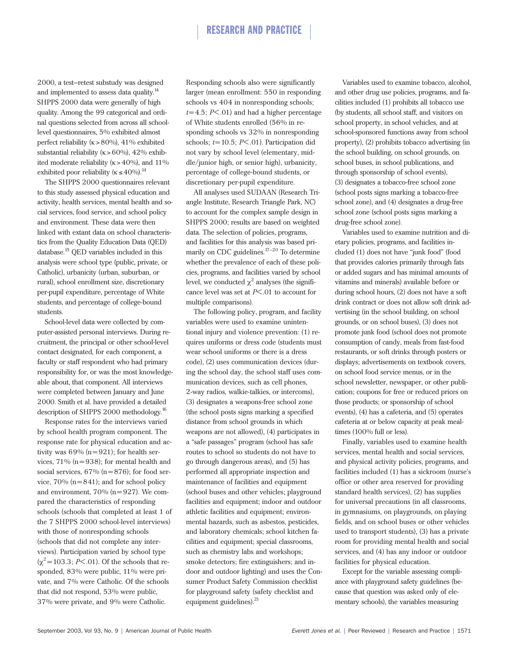2000, a test–retest substudy was designed and implemented to assess data quality.<sup>14</sup> SHPPS 2000 data were generally of high quality. Among the 99 categorical and ordinal questions selected from across all schoollevel questionnaires, 5% exhibited almost perfect reliability ( $\kappa > 80\%$ ), 41% exhibited substantial reliability ( $\kappa > 60\%$ ), 42% exhibited moderate reliability ( $\kappa > 40\%$ ), and 11% exhibited poor reliability ( $\kappa \leq 40\%$ ).<sup>14</sup>

The SHPPS 2000 questionnaires relevant to this study assessed physical education and activity, health services, mental health and social services, food service, and school policy and environment. These data were then linked with extant data on school characteristics from the Quality Education Data (QED) database.<sup>15</sup> QED variables included in this analysis were school type (public, private, or Catholic), urbanicity (urban, suburban, or rural), school enrollment size, discretionary per-pupil expenditure, percentage of White students, and percentage of college-bound students.

School-level data were collected by computer-assisted personal interviews. During recruitment, the principal or other school-level contact designated, for each component, a faculty or staff respondent who had primary responsibility for, or was the most knowledgeable about, that component. All interviews were completed between January and June 2000. Smith et al. have provided a detailed description of SHPPS 2000 methodology.16

Response rates for the interviews varied by school health program component. The response rate for physical education and activity was  $69\%$  (n=921); for health services,  $71\%$  (n=938); for mental health and social services,  $67\%$  (n=876); for food service,  $70\%$  (n = 841); and for school policy and environment,  $70\%$  (n=927). We compared the characteristics of responding schools (schools that completed at least 1 of the 7 SHPPS 2000 school-level interviews) with those of nonresponding schools (schools that did not complete any interviews). Participation varied by school type  $(\chi^2 = 103.3; P < .01)$ . Of the schools that responded, 83% were public, 11% were private, and 7% were Catholic. Of the schools that did not respond, 53% were public, 37% were private, and 9% were Catholic.

Responding schools also were significantly larger (mean enrollment: 550 in responding schools vs 404 in nonresponding schools;  $t=4.5$ ;  $P<.01$ ) and had a higher percentage of White students enrolled (56% in responding schools vs 32% in nonresponding schools; *t*= 10.5; *P*< .01). Participation did not vary by school level (elementary, middle/junior high, or senior high), urbanicity, percentage of college-bound students, or discretionary per-pupil expenditure.

All analyses used SUDAAN (Research Triangle Institute, Research Triangle Park, NC) to account for the complex sample design in SHPPS 2000; results are based on weighted data. The selection of policies, programs, and facilities for this analysis was based primarily on CDC guidelines. $17-20$  To determine whether the prevalence of each of these policies, programs, and facilities varied by school level, we conducted  $\chi^2$  analyses (the significance level was set at *P*<.01 to account for multiple comparisons).

The following policy, program, and facility variables were used to examine unintentional injury and violence prevention: (1) requires uniforms or dress code (students must wear school uniforms or there is a dress code), (2) uses communication devices (during the school day, the school staff uses communication devices, such as cell phones, 2-way radios, walkie-talkies, or intercoms), (3) designates a weapons-free school zone (the school posts signs marking a specified distance from school grounds in which weapons are not allowed), (4) participates in a "safe passages" program (school has safe routes to school so students do not have to go through dangerous areas), and (5) has performed all appropriate inspection and maintenance of facilities and equipment (school buses and other vehicles; playground facilities and equipment; indoor and outdoor athletic facilities and equipment; environmental hazards, such as asbestos, pesticides, and laboratory chemicals; school kitchen facilities and equipment; special classrooms, such as chemistry labs and workshops; smoke detectors; fire extinguishers; and indoor and outdoor lighting) and uses the Consumer Product Safety Commission checklist for playground safety (safety checklist and equipment guidelines). $^{21}$ 

Variables used to examine tobacco, alcohol, and other drug use policies, programs, and facilities included (1) prohibits all tobacco use (by students, all school staff, and visitors on school property, in school vehicles, and at school-sponsored functions away from school property), (2) prohibits tobacco advertising (in the school building, on school grounds, on school buses, in school publications, and through sponsorship of school events), (3) designates a tobacco-free school zone (school posts signs marking a tobacco-free school zone), and (4) designates a drug-free school zone (school posts signs marking a drug-free school zone).

Variables used to examine nutrition and dietary policies, programs, and facilities included (1) does not have "junk food" (food that provides calories primarily through fats or added sugars and has minimal amounts of vitamins and minerals) available before or during school hours, (2) does not have a soft drink contract or does not allow soft drink advertising (in the school building, on school grounds, or on school buses), (3) does not promote junk food (school does not promote consumption of candy, meals from fast-food restaurants, or soft drinks through posters or displays; advertisements on textbook covers, on school food service menus, or in the school newsletter, newspaper, or other publication; coupons for free or reduced prices on those products; or sponsorship of school events), (4) has a cafeteria, and (5) operates cafeteria at or below capacity at peak mealtimes (100% full or less).

Finally, variables used to examine health services, mental health and social services, and physical activity policies, programs, and facilities included (1) has a sickroom (nurse's office or other area reserved for providing standard health services), (2) has supplies for universal precautions (in all classrooms, in gymnasiums, on playgrounds, on playing fields, and on school buses or other vehicles used to transport students), (3) has a private room for providing mental health and social services, and (4) has any indoor or outdoor facilities for physical education.

Except for the variable assessing compliance with playground safety guidelines (because that question was asked only of elementary schools), the variables measuring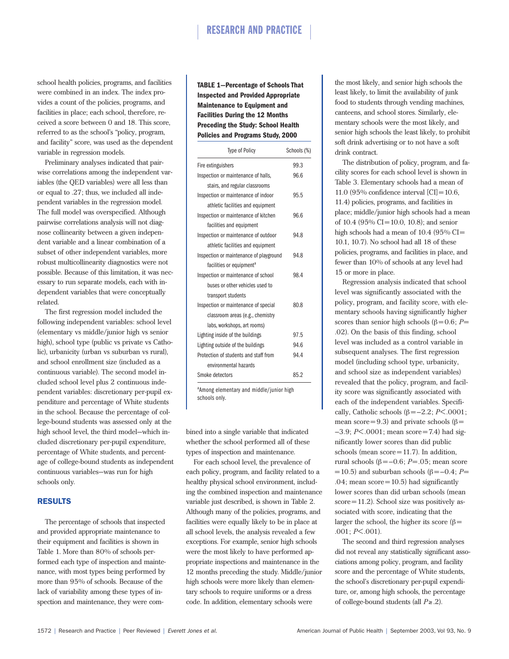school health policies, programs, and facilities were combined in an index. The index provides a count of the policies, programs, and facilities in place; each school, therefore, received a score between 0 and 18. This score, referred to as the school's "policy, program, and facility" score, was used as the dependent variable in regression models.

Preliminary analyses indicated that pairwise correlations among the independent variables (the QED variables) were all less than or equal to .27; thus, we included all independent variables in the regression model. The full model was overspecified. Although pairwise correlations analysis will not diagnose collinearity between a given independent variable and a linear combination of a subset of other independent variables, more robust multicollinearity diagnostics were not possible. Because of this limitation, it was necessary to run separate models, each with independent variables that were conceptually related.

The first regression model included the following independent variables: school level (elementary vs middle/junior high vs senior high), school type (public vs private vs Catholic), urbanicity (urban vs suburban vs rural), and school enrollment size (included as a continuous variable). The second model included school level plus 2 continuous independent variables: discretionary per-pupil expenditure and percentage of White students in the school. Because the percentage of college-bound students was assessed only at the high school level, the third model—which included discretionary per-pupil expenditure, percentage of White students, and percentage of college-bound students as independent continuous variables—was run for high schools only.

### RESULTS

The percentage of schools that inspected and provided appropriate maintenance to their equipment and facilities is shown in Table 1. More than 80% of schools performed each type of inspection and maintenance, with most types being performed by more than 95% of schools. Because of the lack of variability among these types of inspection and maintenance, they were com**TABLE 1—Percentage of Schools That Inspected and Provided Appropriate Maintenance to Equipment and Facilities During the 12 Months Preceding the Study: School Health Policies and Programs Study, 2000**

| <b>Type of Policy</b>                   | Schools (%) |
|-----------------------------------------|-------------|
| Fire extinguishers                      | 99.3        |
| Inspection or maintenance of halls,     | 96.6        |
| stairs, and regular classrooms          |             |
| Inspection or maintenance of indoor     | 95.5        |
| athletic facilities and equipment       |             |
| Inspection or maintenance of kitchen    | 96.6        |
| facilities and equipment                |             |
| Inspection or maintenance of outdoor    | 94.8        |
| athletic facilities and equipment       |             |
| Inspection or maintenance of playground | 94.8        |
| facilities or equipment <sup>a</sup>    |             |
| Inspection or maintenance of school     | 98.4        |
| buses or other vehicles used to         |             |
| transport students                      |             |
| Inspection or maintenance of special    | 80.8        |
| classroom areas (e.g., chemistry        |             |
| labs, workshops, art rooms)             |             |
| Lighting inside of the buildings        | 97.5        |
| Lighting outside of the buildings       | 94.6        |
| Protection of students and staff from   | 94.4        |
| environmental hazards                   |             |
| Smoke detectors                         | 85.2        |

<sup>a</sup> Among elementary and middle/junior high schools only.

bined into a single variable that indicated whether the school performed all of these types of inspection and maintenance.

For each school level, the prevalence of each policy, program, and facility related to a healthy physical school environment, including the combined inspection and maintenance variable just described, is shown in Table 2. Although many of the policies, programs, and facilities were equally likely to be in place at all school levels, the analysis revealed a few exceptions. For example, senior high schools were the most likely to have performed appropriate inspections and maintenance in the 12 months preceding the study. Middle/junior high schools were more likely than elementary schools to require uniforms or a dress code. In addition, elementary schools were

the most likely, and senior high schools the least likely, to limit the availability of junk food to students through vending machines, canteens, and school stores. Similarly, elementary schools were the most likely, and senior high schools the least likely, to prohibit soft drink advertising or to not have a soft drink contract.

The distribution of policy, program, and facility scores for each school level is shown in Table 3. Elementary schools had a mean of 11.0 (95% confidence interval [CI]=10.6, 11.4) policies, programs, and facilities in place; middle/junior high schools had a mean of 10.4 (95% CI=10.0, 10.8); and senior high schools had a mean of 10.4 (95% CI= 10.1, 10.7). No school had all 18 of these policies, programs, and facilities in place, and fewer than 10% of schools at any level had 15 or more in place.

Regression analysis indicated that school level was significantly associated with the policy, program, and facility score, with elementary schools having significantly higher scores than senior high schools ( $\beta$ =0.6; *P*= .02). On the basis of this finding, school level was included as a control variable in subsequent analyses. The first regression model (including school type, urbanicity, and school size as independent variables) revealed that the policy, program, and facility score was significantly associated with each of the independent variables. Specifically, Catholic schools ( $\beta = -2.2$ ; *P*<.0001; mean score = 9.3) and private schools ( $\beta$  =  $-3.9$ ; *P*<.0001; mean score = 7.4) had significantly lower scores than did public schools (mean  $score = 11.7$ ). In addition, rural schools (β=–0.6; *P*=.05; mean score  $= 10.5$ ) and suburban schools ( $\beta = -0.4$ ; *P*=  $.04$ ; mean score = 10.5) had significantly lower scores than did urban schools (mean score = 11.2). School size was positively associated with score, indicating that the larger the school, the higher its score ( $\beta$ = .001; *P*<.001).

The second and third regression analyses did not reveal any statistically significant associations among policy, program, and facility score and the percentage of White students, the school's discretionary per-pupil expenditure, or, among high schools, the percentage of college-bound students (all *P* ≥.2).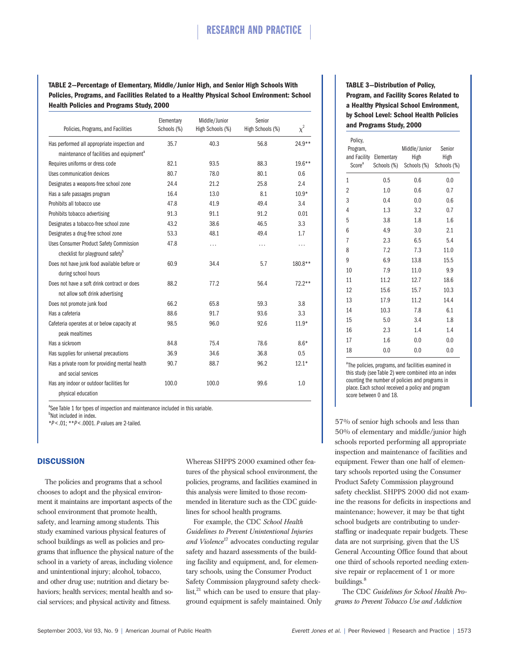**TABLE 2—Percentage of Elementary, Middle/Junior High, and Senior High Schools With Policies, Programs, and Facilities Related to a Healthy Physical School Environment: School Health Policies and Programs Study, 2000**

| Policies, Programs, and Facilities                   | Elementary<br>Schools (%) | Middle/Junior<br>High Schools (%) | Senior<br>High Schools (%) | $\chi^2$  |
|------------------------------------------------------|---------------------------|-----------------------------------|----------------------------|-----------|
| Has performed all appropriate inspection and         | 35.7                      | 40.3                              | 56.8                       | $24.9**$  |
| maintenance of facilities and equipment <sup>a</sup> |                           |                                   |                            |           |
| Requires uniforms or dress code                      | 82.1                      | 93.5                              | 88.3                       | $19.6***$ |
| Uses communication devices                           | 80.7                      | 78.0                              | 80.1                       | 0.6       |
| Designates a weapons-free school zone                | 24.4                      | 21.2                              | 25.8                       | 2.4       |
| Has a safe passages program                          | 16.4                      | 13.0                              | 8.1                        | $10.9*$   |
| Prohibits all tobacco use                            | 47.8                      | 41.9                              | 49.4                       | 3.4       |
| Prohibits tobacco advertising                        | 91.3                      | 91.1                              | 91.2                       | 0.01      |
| Designates a tobacco-free school zone                | 43.2                      | 38.6                              | 46.5                       | 3.3       |
| Designates a drug-free school zone                   | 53.3                      | 48.1                              | 49.4                       | 1.7       |
| <b>Uses Consumer Product Safety Commission</b>       | 47.8                      | .                                 | .                          | .         |
| checklist for playground safety <sup>b</sup>         |                           |                                   |                            |           |
| Does not have junk food available before or          | 60.9                      | 34.4                              | 5.7                        | 180.8**   |
| during school hours                                  |                           |                                   |                            |           |
| Does not have a soft drink contract or does          | 88.2                      | 77.2                              | 56.4                       | $72.2**$  |
| not allow soft drink advertising                     |                           |                                   |                            |           |
| Does not promote junk food                           | 66.2                      | 65.8                              | 59.3                       | 3.8       |
| Has a cafeteria                                      | 88.6                      | 91.7                              | 93.6                       | 3.3       |
| Cafeteria operates at or below capacity at           | 98.5                      | 96.0                              | 92.6                       | $11.9*$   |
| peak mealtimes                                       |                           |                                   |                            |           |
| Has a sickroom                                       | 84.8                      | 75.4                              | 78.6                       | $8.6*$    |
| Has supplies for universal precautions               | 36.9                      | 34.6                              | 36.8                       | 0.5       |
| Has a private room for providing mental health       | 90.7                      | 88.7                              | 96.2                       | $12.1*$   |
| and social services                                  |                           |                                   |                            |           |
| Has any indoor or outdoor facilities for             | 100.0                     | 100.0                             | 99.6                       | 1.0       |
| physical education                                   |                           |                                   |                            |           |

<sup>a</sup>See Table 1 for types of inspection and maintenance included in this variable.

<sup>b</sup>Not included in index.

\**P* < .01; \*\**P* < .0001. *P* values are 2-tailed.

### **DISCUSSION**

The policies and programs that a school chooses to adopt and the physical environment it maintains are important aspects of the school environment that promote health, safety, and learning among students. This study examined various physical features of school buildings as well as policies and programs that influence the physical nature of the school in a variety of areas, including violence and unintentional injury; alcohol, tobacco, and other drug use; nutrition and dietary behaviors; health services; mental health and social services; and physical activity and fitness.

Whereas SHPPS 2000 examined other features of the physical school environment, the policies, programs, and facilities examined in this analysis were limited to those recommended in literature such as the CDC guidelines for school health programs.

For example, the CDC *School Health Guidelines to Prevent Unintentional Injuries and Violence*<sup>17</sup> advocates conducting regular safety and hazard assessments of the building facility and equipment, and, for elementary schools, using the Consumer Product Safety Commission playground safety checklist, $21$  which can be used to ensure that playground equipment is safely maintained. Only **TABLE 3—Distribution of Policy, Program, and Facility Scores Related to a Healthy Physical School Environment, by School Level: School Health Policies and Programs Study, 2000**

| Policy,<br>Program,<br>and Facility<br>Score <sup>a</sup> | Elementary<br>Schools (%) | Middle/Junior<br>High<br>Schools (%) | Senior<br>High<br>Schools (%) |
|-----------------------------------------------------------|---------------------------|--------------------------------------|-------------------------------|
| 1                                                         | 0.5                       | 0.6                                  | 0.0                           |
| $\overline{2}$                                            | 1.0                       | 0.6                                  | 0.7                           |
| 3                                                         | 0.4                       | 0.0                                  | 0.6                           |
| 4                                                         | 1.3                       | 3.2                                  | 0.7                           |
| 5                                                         | 3.8                       | 1.8                                  | 1.6                           |
| 6                                                         | 4.9                       | 3.0                                  | 2.1                           |
| $\overline{1}$                                            | 2.3                       | 6.5                                  | 5.4                           |
| 8                                                         | 7.2                       | 7.3                                  | 11.0                          |
| 9                                                         | 6.9                       | 13.8                                 | 15.5                          |
| 10                                                        | 7.9                       | 11.0                                 | 9.9                           |
| 11                                                        | 11.2                      | 12.7                                 | 18.6                          |
| 12                                                        | 15.6                      | 15.7                                 | 10.3                          |
| 13                                                        | 17.9                      | 11.2                                 | 14.4                          |
| 14                                                        | 10.3                      | 7.8                                  | 6.1                           |
| 15                                                        | 5.0                       | 3.4                                  | 1.8                           |
| 16                                                        | 2.3                       | 1.4                                  | 1.4                           |
| 17                                                        | 1.6                       | 0.0                                  | 0.0                           |
| 18                                                        | 0.0                       | 0.0                                  | 0.0                           |
|                                                           |                           |                                      |                               |

<sup>a</sup>The policies, programs, and facilities examined in this study (see Table 2) were combined into an index counting the number of policies and programs in place. Each school received a policy and program score between 0 and 18.

57% of senior high schools and less than 50% of elementary and middle/junior high schools reported performing all appropriate inspection and maintenance of facilities and equipment. Fewer than one half of elementary schools reported using the Consumer Product Safety Commission playground safety checklist. SHPPS 2000 did not examine the reasons for deficits in inspections and maintenance; however, it may be that tight school budgets are contributing to understaffing or inadequate repair budgets. These data are not surprising, given that the US General Accounting Office found that about one third of schools reported needing extensive repair or replacement of 1 or more buildings.<sup>8</sup>

The CDC *Guidelines for School Health Programs to Prevent Tobacco Use and Addiction*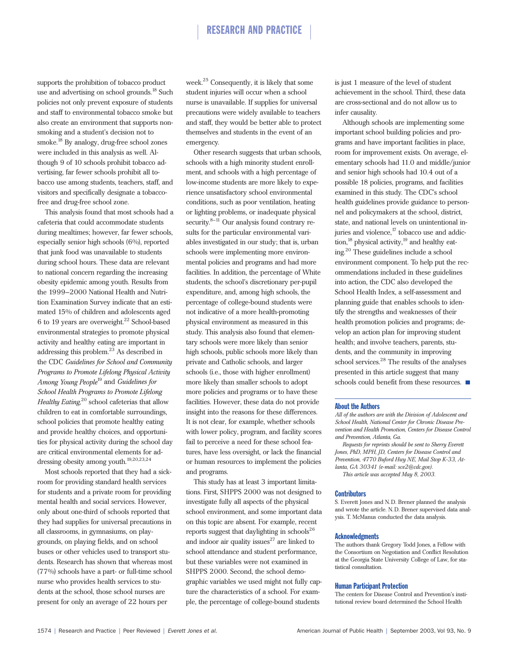supports the prohibition of tobacco product use and advertising on school grounds.<sup>18</sup> Such policies not only prevent exposure of students and staff to environmental tobacco smoke but also create an environment that supports nonsmoking and a student's decision not to smoke.<sup>18</sup> By analogy, drug-free school zones were included in this analysis as well. Although 9 of 10 schools prohibit tobacco advertising, far fewer schools prohibit all tobacco use among students, teachers, staff, and visitors and specifically designate a tobaccofree and drug-free school zone.

This analysis found that most schools had a cafeteria that could accommodate students during mealtimes; however, far fewer schools, especially senior high schools (6%), reported that junk food was unavailable to students during school hours. These data are relevant to national concern regarding the increasing obesity epidemic among youth. Results from the 1999–2000 National Health and Nutrition Examination Survey indicate that an estimated 15% of children and adolescents aged 6 to 19 years are overweight. $22$  School-based environmental strategies to promote physical activity and healthy eating are important in addressing this problem.<sup>23</sup> As described in the CDC *Guidelines for School and Community Programs to Promote Lifelong Physical Activity Among Young People*<sup>19</sup> and *Guidelines for School Health Programs to Promote Lifelong Healthy Eating,*<sup>20</sup> school cafeterias that allow children to eat in comfortable surroundings, school policies that promote healthy eating and provide healthy choices, and opportunities for physical activity during the school day are critical environmental elements for addressing obesity among youth.<sup>19,20,23,24</sup>

Most schools reported that they had a sickroom for providing standard health services for students and a private room for providing mental health and social services. However, only about one-third of schools reported that they had supplies for universal precautions in all classrooms, in gymnasiums, on playgrounds, on playing fields, and on school buses or other vehicles used to transport students. Research has shown that whereas most (77%) schools have a part- or full-time school nurse who provides health services to students at the school, those school nurses are present for only an average of 22 hours per

week.25 Consequently, it is likely that some student injuries will occur when a school nurse is unavailable. If supplies for universal precautions were widely available to teachers and staff, they would be better able to protect themselves and students in the event of an emergency.

Other research suggests that urban schools, schools with a high minority student enrollment, and schools with a high percentage of low-income students are more likely to experience unsatisfactory school environmental conditions, such as poor ventilation, heating or lighting problems, or inadequate physical security. $8-11$  Our analysis found contrary results for the particular environmental variables investigated in our study; that is, urban schools were implementing more environmental policies and programs and had more facilities. In addition, the percentage of White students, the school's discretionary per-pupil expenditure, and, among high schools, the percentage of college-bound students were not indicative of a more health-promoting physical environment as measured in this study. This analysis also found that elementary schools were more likely than senior high schools, public schools more likely than private and Catholic schools, and larger schools (i.e., those with higher enrollment) more likely than smaller schools to adopt more policies and programs or to have these facilities. However, these data do not provide insight into the reasons for these differences. It is not clear, for example, whether schools with lower policy, program, and facility scores fail to perceive a need for these school features, have less oversight, or lack the financial or human resources to implement the policies and programs.

This study has at least 3 important limitations. First, SHPPS 2000 was not designed to investigate fully all aspects of the physical school environment, and some important data on this topic are absent. For example, recent reports suggest that daylighting in  $\rm{schools}^{26}$ and indoor air quality issues<sup>27</sup> are linked to school attendance and student performance, but these variables were not examined in SHPPS 2000. Second, the school demographic variables we used might not fully capture the characteristics of a school. For example, the percentage of college-bound students

is just 1 measure of the level of student achievement in the school. Third, these data are cross-sectional and do not allow us to infer causality.

Although schools are implementing some important school building policies and programs and have important facilities in place, room for improvement exists. On average, elementary schools had 11.0 and middle/junior and senior high schools had 10.4 out of a possible 18 policies, programs, and facilities examined in this study. The CDC's school health guidelines provide guidance to personnel and policymakers at the school, district, state, and national levels on unintentional injuries and violence,<sup>17</sup> tobacco use and addiction,<sup>18</sup> physical activity,<sup>19</sup> and healthy eating.<sup>20</sup> These guidelines include a school environment component. To help put the recommendations included in these guidelines into action, the CDC also developed the School Health Index, a self-assessment and planning guide that enables schools to identify the strengths and weaknesses of their health promotion policies and programs; develop an action plan for improving student health; and involve teachers, parents, students, and the community in improving school services.<sup>28</sup> The results of the analyses presented in this article suggest that many schools could benefit from these resources.

#### About the Authors

*All of the authors are with the Division of Adolescent and School Health, National Center for Chronic Disease Prevention and Health Promotion, Centers for Disease Control and Prevention, Atlanta, Ga.*

*Requests for reprints should be sent to Sherry Everett Jones, PhD, MPH, JD, Centers for Disease Control and Prevention, 4770 Buford Hwy NE, Mail Stop K-33, Atlanta, GA 30341 (e-mail: sce2@cdc.gov).*

*This article was accepted May 8, 2003.*

#### **Contributors**

S. Everett Jones and N.D. Brener planned the analysis and wrote the article. N.D. Brener supervised data analysis. T. McManus conducted the data analysis.

#### Acknowledgments

The authors thank Gregory Todd Jones, a Fellow with the Consortium on Negotiation and Conflict Resolution at the Georgia State University College of Law, for statistical consultation.

#### Human Participant Protection

The centers for Disease Control and Prevention's institutional review board determined the School Health